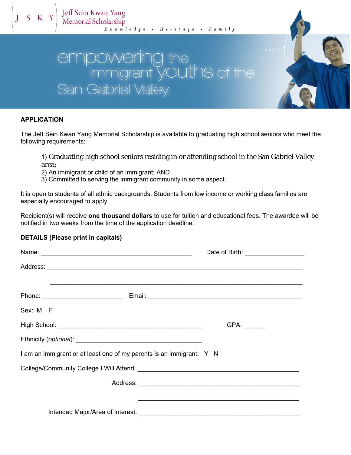# the nt YOUthS of the San Gabriel Valley.

### **APPLICATION**

 $J S K$ 

The Jeff Sein Kwan Yang Memorial Scholarship is available to graduating high school seniors who meet the following requirements:

1) Graduating high school seniors residing in or attending school in the San Gabriel Valley area;

2) An immigrant or child of an immigrant; AND

3) Committed to serving the immigrant community in some aspect.

It is open to students of all ethnic backgrounds. Students from low income or working class families are especially encouraged to apply.

Recipient(s) will receive **one thousand dollars** to use for tuition and educational fees. The awardee will be notified in two weeks from the time of the application deadline.

#### **DETAILS (Please print in capitals)**

|                                                                                                                                                                                                                                |  | Date of Birth: ___________________ |  |
|--------------------------------------------------------------------------------------------------------------------------------------------------------------------------------------------------------------------------------|--|------------------------------------|--|
|                                                                                                                                                                                                                                |  |                                    |  |
|                                                                                                                                                                                                                                |  |                                    |  |
| Sex: M F                                                                                                                                                                                                                       |  |                                    |  |
|                                                                                                                                                                                                                                |  |                                    |  |
|                                                                                                                                                                                                                                |  |                                    |  |
| I am an immigrant or at least one of my parents is an immigrant: Y N                                                                                                                                                           |  |                                    |  |
| College/Community College I Will Attend: \\college_\rangle \times \text{\sigma_{\sigma_{\sigma_{\sigma_{\sigma_{\sigma_{\sigma_{\sigma_{\sigma_{\sigma_{\sigma_{\sigma_{\sigma_{\sigma_{\sigma_{\sigma_{\sigma_{\sigma_{\sigma |  |                                    |  |
|                                                                                                                                                                                                                                |  |                                    |  |
|                                                                                                                                                                                                                                |  |                                    |  |
|                                                                                                                                                                                                                                |  |                                    |  |